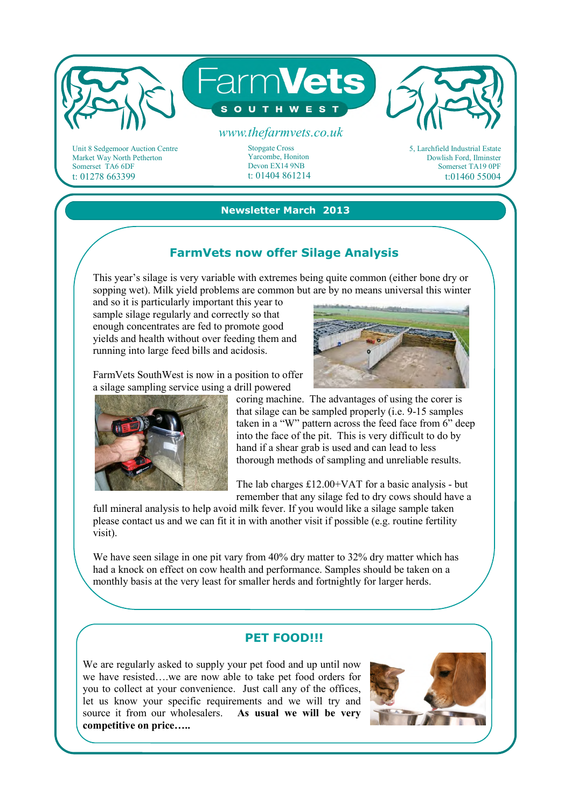

Unit 8 Sedgemoor Auction Centre Market Way North Petherton Somerset TA6 6DF t: 01278 663399

# t: 01404 861214

Yarcombe, Honiton Devon EX14 9NB

5, Larchfield Industrial Estate Dowlish Ford, Ilminster Somerset TA19 0PF t:01460 55004

#### **Newsletter March 2013**

### **FarmVets now offer Silage Analysis**

This year's silage is very variable with extremes being quite common (either bone dry or sopping wet). Milk yield problems are common but are by no means universal this winter

and so it is particularly important this year to sample silage regularly and correctly so that enough concentrates are fed to promote good yields and health without over feeding them and running into large feed bills and acidosis.

FarmVets SouthWest is now in a position to offer a silage sampling service using a drill powered



coring machine. The advantages of using the corer is that silage can be sampled properly (i.e. 9-15 samples taken in a "W" pattern across the feed face from 6" deep into the face of the pit. This is very difficult to do by hand if a shear grab is used and can lead to less thorough methods of sampling and unreliable results.

The lab charges £12.00+VAT for a basic analysis - but remember that any silage fed to dry cows should have a

full mineral analysis to help avoid milk fever. If you would like a silage sample taken please contact us and we can fit it in with another visit if possible (e.g. routine fertility visit).

We have seen silage in one pit vary from 40% dry matter to 32% dry matter which has had a knock on effect on cow health and performance. Samples should be taken on a monthly basis at the very least for smaller herds and fortnightly for larger herds.

#### **PET FOOD!!!**

We are regularly asked to supply your pet food and up until now we have resisted….we are now able to take pet food orders for you to collect at your convenience. Just call any of the offices, let us know your specific requirements and we will try and source it from our wholesalers. **As usual we will be very competitive on price…..**